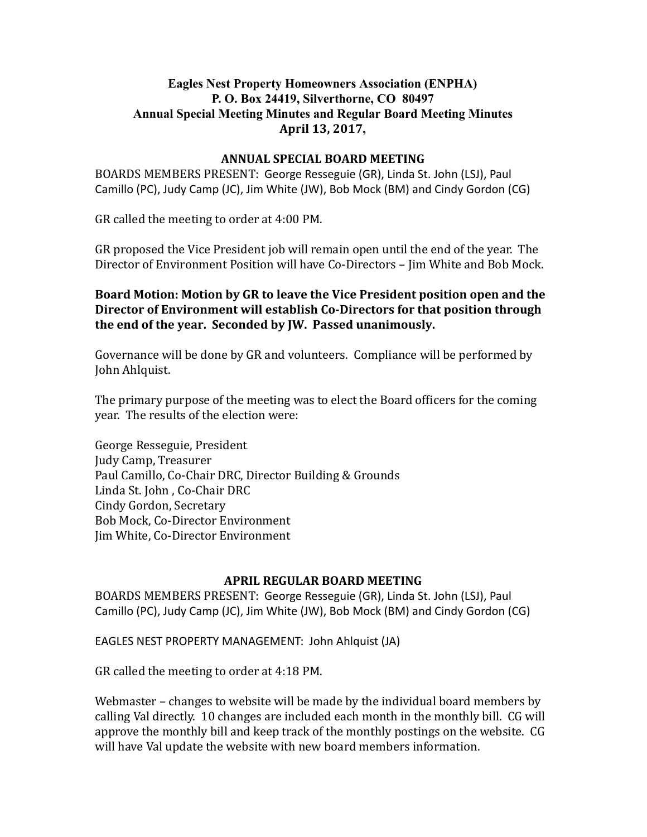# Eagles Nest Property Homeowners Association (ENPHA) P. O. Box 24419, Silverthorne, CO 80497 Annual Special Meeting Minutes and Regular Board Meeting Minutes April 13, 2017,

#### ANNUAL SPECIAL BOARD MEETING

BOARDS MEMBERS PRESENT: George Resseguie (GR), Linda St. John (LSJ), Paul Camillo (PC), Judy Camp (JC), Jim White (JW), Bob Mock (BM) and Cindy Gordon (CG)

GR called the meeting to order at 4:00 PM.

GR proposed the Vice President job will remain open until the end of the year. The Director of Environment Position will have Co‑Directors – Jim White and Bob Mock.

Board Motion: Motion by GR to leave the Vice President position open and the Director of Environment will establish Co-Directors for that position through the end of the year. Seconded by JW. Passed unanimously.

Governance will be done by GR and volunteers. Compliance will be performed by John Ahlquist.

The primary purpose of the meeting was to elect the Board officers for the coming year. The results of the election were:

George Resseguie, President Judy Camp, Treasurer Paul Camillo, Co‑Chair DRC, Director Building & Grounds Linda St. John , Co‑Chair DRC Cindy Gordon, Secretary Bob Mock, Co‑Director Environment Jim White, Co‑Director Environment

#### APRIL REGULAR BOARD MEETING

BOARDS MEMBERS PRESENT: George Resseguie (GR), Linda St. John (LSJ), Paul Camillo (PC), Judy Camp (JC), Jim White (JW), Bob Mock (BM) and Cindy Gordon (CG)

EAGLES NEST PROPERTY MANAGEMENT: John Ahlquist (JA)

GR called the meeting to order at 4:18 PM.

Webmaster – changes to website will be made by the individual board members by calling Val directly. 10 changes are included each month in the monthly bill. CG will approve the monthly bill and keep track of the monthly postings on the website. CG will have Val update the website with new board members information.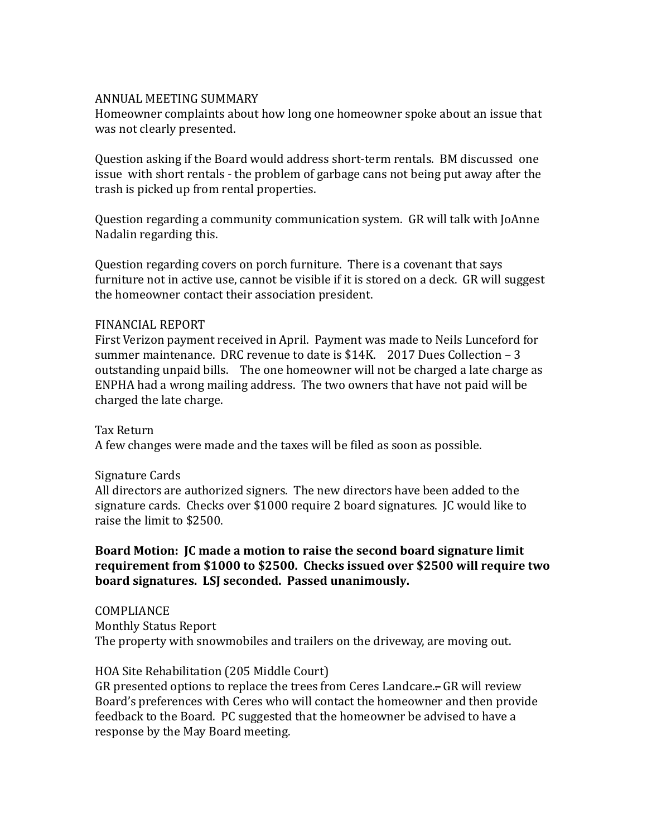#### ANNUAL MEETING SUMMARY

Homeowner complaints about how long one homeowner spoke about an issue that was not clearly presented.

Question asking if the Board would address short‑term rentals. BM discussed one issue with short rentals - the problem of garbage cans not being put away after the trash is picked up from rental properties.

Question regarding a community communication system. GR will talk with JoAnne Nadalin regarding this.

Question regarding covers on porch furniture. There is a covenant that says furniture not in active use, cannot be visible if it is stored on a deck. GR will suggest the homeowner contact their association president.

#### FINANCIAL REPORT

First Verizon payment received in April. Payment was made to Neils Lunceford for summer maintenance. DRC revenue to date is \$14K. 2017 Dues Collection – 3 outstanding unpaid bills. The one homeowner will not be charged a late charge as ENPHA had a wrong mailing address. The two owners that have not paid will be charged the late charge.

Tax Return

A few changes were made and the taxes will be filed as soon as possible.

# Signature Cards

All directors are authorized signers. The new directors have been added to the signature cards. Checks over \$1000 require 2 board signatures. JC would like to raise the limit to \$2500.

# Board Motion: JC made a motion to raise the second board signature limit requirement from \$1000 to \$2500. Checks issued over \$2500 will require two board signatures. LSJ seconded. Passed unanimously.

COMPLIANCE Monthly Status Report The property with snowmobiles and trailers on the driveway, are moving out.

# HOA Site Rehabilitation (205 Middle Court)

GR presented options to replace the trees from Ceres Landcare.. GR will review Board's preferences with Ceres who will contact the homeowner and then provide feedback to the Board. PC suggested that the homeowner be advised to have a response by the May Board meeting.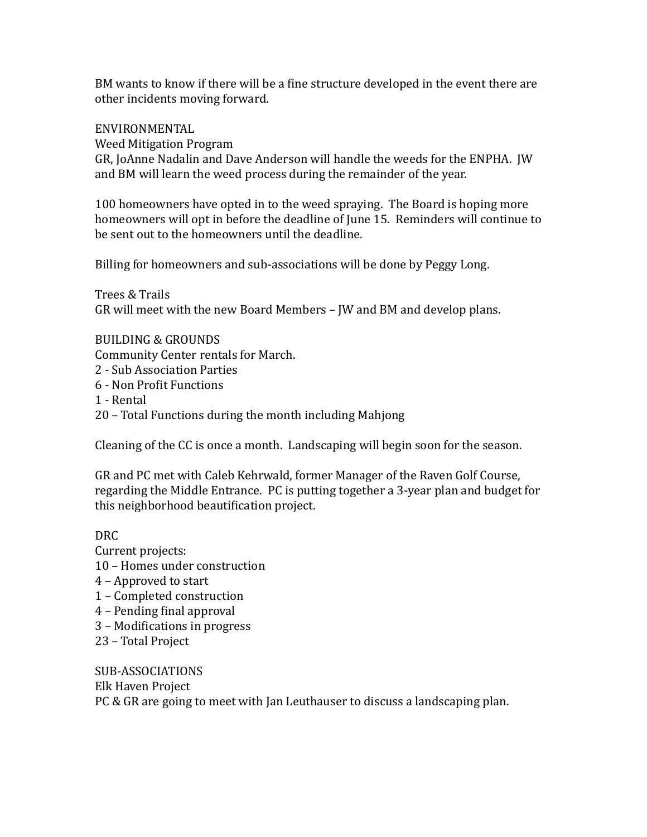BM wants to know if there will be a fine structure developed in the event there are other incidents moving forward.

# ENVIRONMENTAL

Weed Mitigation Program

GR, JoAnne Nadalin and Dave Anderson will handle the weeds for the ENPHA. JW and BM will learn the weed process during the remainder of the year.

100 homeowners have opted in to the weed spraying. The Board is hoping more homeowners will opt in before the deadline of June 15. Reminders will continue to be sent out to the homeowners until the deadline.

Billing for homeowners and sub-associations will be done by Peggy Long.

Trees & Trails GR will meet with the new Board Members – JW and BM and develop plans.

# BUILDING & GROUNDS

Community Center rentals for March.

- 2 ‑ Sub Association Parties
- 6 Non Profit Functions
- 1 ‑ Rental
- 20 Total Functions during the month including Mahjong

Cleaning of the CC is once a month. Landscaping will begin soon for the season.

GR and PC met with Caleb Kehrwald, former Manager of the Raven Golf Course, regarding the Middle Entrance. PC is putting together a 3‑year plan and budget for this neighborhood beautification project.

# DRC

- Current projects: 10 – Homes under construction 4 – Approved to start 1 – Completed construction
- 4 Pending final approval
- 3 Modifications in progress
- 23 Total Project

SUB‑ASSOCIATIONS Elk Haven Project PC & GR are going to meet with Jan Leuthauser to discuss a landscaping plan.